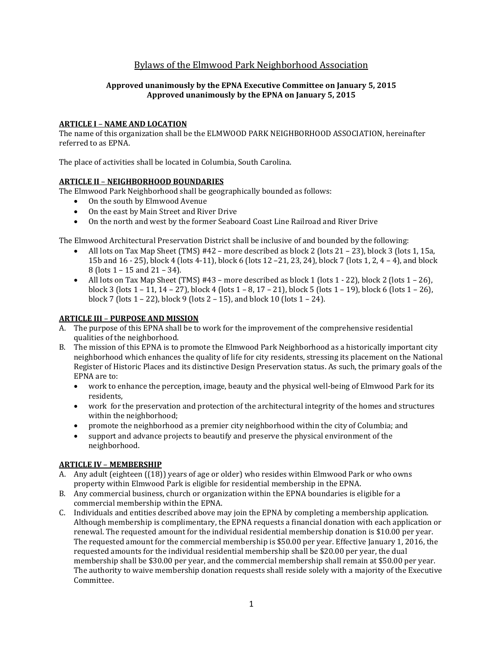# Bylaws of the Elmwood Park Neighborhood Association

# **Approved unanimously by the EPNA Executive Committee on January 5, 2015 Approved unanimously by the EPNA on January 5, 2015**

# **ARTICLE I** – **NAME AND LOCATION**

The name of this organization shall be the ELMWOOD PARK NEIGHBORHOOD ASSOCIATION, hereinafter referred to as EPNA.

The place of activities shall be located in Columbia, South Carolina.

# **ARTICLE II** – **NEIGHBORHOOD BOUNDARIES**

The Elmwood Park Neighborhood shall be geographically bounded as follows:

- On the south by Elmwood Avenue
- On the east by Main Street and River Drive
- On the north and west by the former Seaboard Coast Line Railroad and River Drive

The Elmwood Architectural Preservation District shall be inclusive of and bounded by the following:

- All lots on Tax Map Sheet (TMS) #42 more described as block 2 (lots 21 23), block 3 (lots 1, 15a, 15b and 16 - 25), block 4 (lots 4-11), block 6 (lots 12 –21, 23, 24), block 7 (lots 1, 2, 4 – 4), and block 8 (lots 1 – 15 and 21 – 34).
- All lots on Tax Map Sheet (TMS) #43 more described as block 1 (lots 1 22), block 2 (lots 1 26), block 3 (lots 1 – 11, 14 – 27), block 4 (lots 1 – 8, 17 – 21), block 5 (lots 1 – 19), block 6 (lots 1 – 26), block 7 (lots 1 – 22), block 9 (lots 2 – 15), and block 10 (lots 1 – 24).

# **ARTICLE III** – **PURPOSE AND MISSION**

- A. The purpose of this EPNA shall be to work for the improvement of the comprehensive residential qualities of the neighborhood.
- B. The mission of this EPNA is to promote the Elmwood Park Neighborhood as a historically important city neighborhood which enhances the quality of life for city residents, stressing its placement on the National Register of Historic Places and its distinctive Design Preservation status. As such, the primary goals of the EPNA are to:
	- work to enhance the perception, image, beauty and the physical well-being of Elmwood Park for its residents,
	- work for the preservation and protection of the architectural integrity of the homes and structures within the neighborhood;
	- promote the neighborhood as a premier city neighborhood within the city of Columbia; and
	- support and advance projects to beautify and preserve the physical environment of the neighborhood.

# **ARTICLE IV** – **MEMBERSHIP**

- A. Any adult (eighteen ((18)) years of age or older) who resides within Elmwood Park or who owns property within Elmwood Park is eligible for residential membership in the EPNA.
- B. Any commercial business, church or organization within the EPNA boundaries is eligible for a commercial membership within the EPNA.
- C. Individuals and entities described above may join the EPNA by completing a membership application. Although membership is complimentary, the EPNA requests a financial donation with each application or renewal. The requested amount for the individual residential membership donation is \$10.00 per year. The requested amount for the commercial membership is \$50.00 per year. Effective January 1, 2016, the requested amounts for the individual residential membership shall be \$20.00 per year, the dual membership shall be \$30.00 per year, and the commercial membership shall remain at \$50.00 per year. The authority to waive membership donation requests shall reside solely with a majority of the Executive Committee.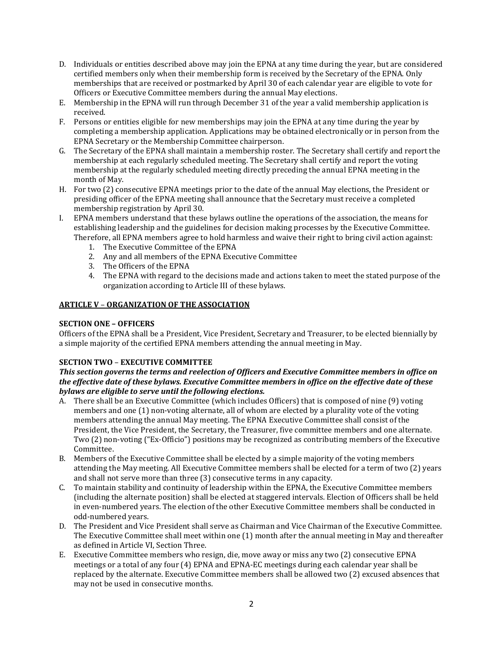- D. Individuals or entities described above may join the EPNA at any time during the year, but are considered certified members only when their membership form is received by the Secretary of the EPNA. Only memberships that are received or postmarked by April 30 of each calendar year are eligible to vote for Officers or Executive Committee members during the annual May elections.
- E. Membership in the EPNA will run through December 31 of the year a valid membership application is received.
- F. Persons or entities eligible for new memberships may join the EPNA at any time during the year by completing a membership application. Applications may be obtained electronically or in person from the EPNA Secretary or the Membership Committee chairperson.
- G. The Secretary of the EPNA shall maintain a membership roster. The Secretary shall certify and report the membership at each regularly scheduled meeting. The Secretary shall certify and report the voting membership at the regularly scheduled meeting directly preceding the annual EPNA meeting in the month of May.
- H. For two (2) consecutive EPNA meetings prior to the date of the annual May elections, the President or presiding officer of the EPNA meeting shall announce that the Secretary must receive a completed membership registration by April 30.
- I. EPNA members understand that these bylaws outline the operations of the association, the means for establishing leadership and the guidelines for decision making processes by the Executive Committee. Therefore, all EPNA members agree to hold harmless and waive their right to bring civil action against:
	- 1. The Executive Committee of the EPNA
	- 2. Any and all members of the EPNA Executive Committee
	- 3. The Officers of the EPNA
	- 4. The EPNA with regard to the decisions made and actions taken to meet the stated purpose of the organization according to Article III of these bylaws.

# **ARTICLE V** – **ORGANIZATION OF THE ASSOCIATION**

### **SECTION ONE – OFFICERS**

Officers of the EPNA shall be a President, Vice President, Secretary and Treasurer, to be elected biennially by a simple majority of the certified EPNA members attending the annual meeting in May.

### **SECTION TWO** – **EXECUTIVE COMMITTEE**

### *This section governs the terms and reelection of Officers and Executive Committee members in office on the effective date of these bylaws. Executive Committee members in office on the effective date of these bylaws are eligible to serve until the following elections.*

- A. There shall be an Executive Committee (which includes Officers) that is composed of nine (9) voting members and one (1) non-voting alternate, all of whom are elected by a plurality vote of the voting members attending the annual May meeting. The EPNA Executive Committee shall consist of the President, the Vice President, the Secretary, the Treasurer, five committee members and one alternate. Two (2) non-voting ("Ex-Officio") positions may be recognized as contributing members of the Executive Committee.
- B. Members of the Executive Committee shall be elected by a simple majority of the voting members attending the May meeting. All Executive Committee members shall be elected for a term of two (2) years and shall not serve more than three (3) consecutive terms in any capacity.
- C. To maintain stability and continuity of leadership within the EPNA, the Executive Committee members (including the alternate position) shall be elected at staggered intervals. Election of Officers shall be held in even-numbered years. The election of the other Executive Committee members shall be conducted in odd-numbered years.
- D. The President and Vice President shall serve as Chairman and Vice Chairman of the Executive Committee. The Executive Committee shall meet within one (1) month after the annual meeting in May and thereafter as defined in Article VI, Section Three.
- E. Executive Committee members who resign, die, move away or miss any two (2) consecutive EPNA meetings or a total of any four (4) EPNA and EPNA-EC meetings during each calendar year shall be replaced by the alternate. Executive Committee members shall be allowed two (2) excused absences that may not be used in consecutive months.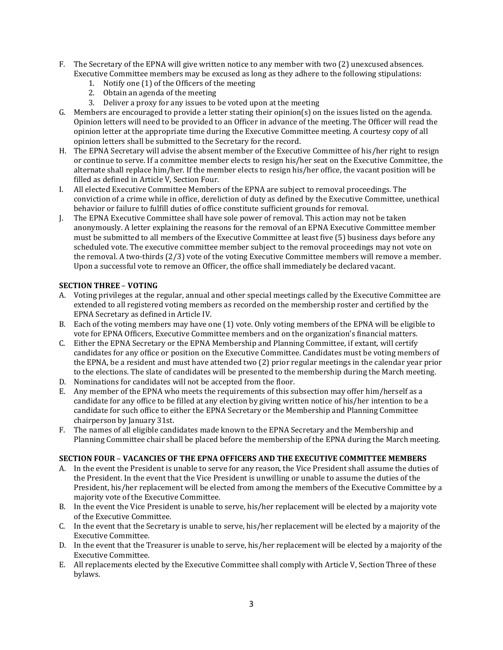- F. The Secretary of the EPNA will give written notice to any member with two (2) unexcused absences. Executive Committee members may be excused as long as they adhere to the following stipulations:
	- 1. Notify one (1) of the Officers of the meeting
	- 2. Obtain an agenda of the meeting
	- 3. Deliver a proxy for any issues to be voted upon at the meeting
- G. Members are encouraged to provide a letter stating their opinion(s) on the issues listed on the agenda. Opinion letters will need to be provided to an Officer in advance of the meeting. The Officer will read the opinion letter at the appropriate time during the Executive Committee meeting. A courtesy copy of all opinion letters shall be submitted to the Secretary for the record.
- H. The EPNA Secretary will advise the absent member of the Executive Committee of his/her right to resign or continue to serve. If a committee member elects to resign his/her seat on the Executive Committee, the alternate shall replace him/her. If the member elects to resign his/her office, the vacant position will be filled as defined in Article V, Section Four.
- I. All elected Executive Committee Members of the EPNA are subject to removal proceedings. The conviction of a crime while in office, dereliction of duty as defined by the Executive Committee, unethical behavior or failure to fulfill duties of office constitute sufficient grounds for removal.
- J. The EPNA Executive Committee shall have sole power of removal. This action may not be taken anonymously. A letter explaining the reasons for the removal of an EPNA Executive Committee member must be submitted to all members of the Executive Committee at least five (5) business days before any scheduled vote. The executive committee member subject to the removal proceedings may not vote on the removal. A two-thirds (2/3) vote of the voting Executive Committee members will remove a member. Upon a successful vote to remove an Officer, the office shall immediately be declared vacant.

# **SECTION THREE** – **VOTING**

- A. Voting privileges at the regular, annual and other special meetings called by the Executive Committee are extended to all registered voting members as recorded on the membership roster and certified by the EPNA Secretary as defined in Article IV.
- B. Each of the voting members may have one (1) vote. Only voting members of the EPNA will be eligible to vote for EPNA Officers, Executive Committee members and on the organization's financial matters.
- C. Either the EPNA Secretary or the EPNA Membership and Planning Committee, if extant, will certify candidates for any office or position on the Executive Committee. Candidates must be voting members of the EPNA, be a resident and must have attended two (2) prior regular meetings in the calendar year prior to the elections. The slate of candidates will be presented to the membership during the March meeting.
- D. Nominations for candidates will not be accepted from the floor.
- E. Any member of the EPNA who meets the requirements of this subsection may offer him/herself as a candidate for any office to be filled at any election by giving written notice of his/her intention to be a candidate for such office to either the EPNA Secretary or the Membership and Planning Committee chairperson by January 31st.
- F. The names of all eligible candidates made known to the EPNA Secretary and the Membership and Planning Committee chair shall be placed before the membership of the EPNA during the March meeting.

### **SECTION FOUR** – **VACANCIES OF THE EPNA OFFICERS AND THE EXECUTIVE COMMITTEE MEMBERS**

- A. In the event the President is unable to serve for any reason, the Vice President shall assume the duties of the President. In the event that the Vice President is unwilling or unable to assume the duties of the President, his/her replacement will be elected from among the members of the Executive Committee by a majority vote of the Executive Committee.
- B. In the event the Vice President is unable to serve, his/her replacement will be elected by a majority vote of the Executive Committee.
- C. In the event that the Secretary is unable to serve, his/her replacement will be elected by a majority of the Executive Committee.
- D. In the event that the Treasurer is unable to serve, his/her replacement will be elected by a majority of the Executive Committee.
- E. All replacements elected by the Executive Committee shall comply with Article V, Section Three of these bylaws.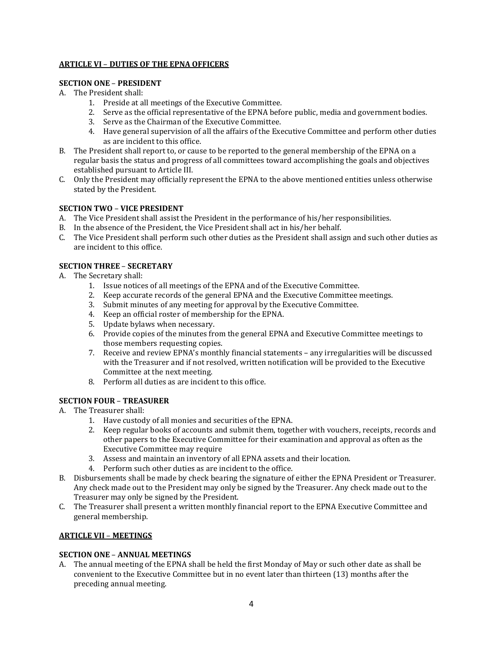### **ARTICLE VI** – **DUTIES OF THE EPNA OFFICERS**

# **SECTION ONE** – **PRESIDENT**

- A. The President shall:
	- 1. Preside at all meetings of the Executive Committee.
	- 2. Serve as the official representative of the EPNA before public, media and government bodies.
	- 3. Serve as the Chairman of the Executive Committee.
	- 4. Have general supervision of all the affairs of the Executive Committee and perform other duties as are incident to this office.
- B. The President shall report to, or cause to be reported to the general membership of the EPNA on a regular basis the status and progress of all committees toward accomplishing the goals and objectives established pursuant to Article III.
- C. Only the President may officially represent the EPNA to the above mentioned entities unless otherwise stated by the President.

# **SECTION TWO** – **VICE PRESIDENT**

- A. The Vice President shall assist the President in the performance of his/her responsibilities.
- B. In the absence of the President, the Vice President shall act in his/her behalf.
- C. The Vice President shall perform such other duties as the President shall assign and such other duties as are incident to this office.

# **SECTION THREE** – **SECRETARY**

- A. The Secretary shall:
	- 1. Issue notices of all meetings of the EPNA and of the Executive Committee.
	- 2. Keep accurate records of the general EPNA and the Executive Committee meetings.
	- 3. Submit minutes of any meeting for approval by the Executive Committee.
	- 4. Keep an official roster of membership for the EPNA.
	- 5. Update bylaws when necessary.
	- 6. Provide copies of the minutes from the general EPNA and Executive Committee meetings to those members requesting copies.
	- 7. Receive and review EPNA's monthly financial statements any irregularities will be discussed with the Treasurer and if not resolved, written notification will be provided to the Executive Committee at the next meeting.
	- 8. Perform all duties as are incident to this office.

# **SECTION FOUR** – **TREASURER**

- A. The Treasurer shall:
	- 1. Have custody of all monies and securities of the EPNA.
	- 2. Keep regular books of accounts and submit them, together with vouchers, receipts, records and other papers to the Executive Committee for their examination and approval as often as the Executive Committee may require
	- 3. Assess and maintain an inventory of all EPNA assets and their location.
	- 4. Perform such other duties as are incident to the office.
- B. Disbursements shall be made by check bearing the signature of either the EPNA President or Treasurer. Any check made out to the President may only be signed by the Treasurer. Any check made out to the Treasurer may only be signed by the President.
- C. The Treasurer shall present a written monthly financial report to the EPNA Executive Committee and general membership.

### **ARTICLE VII** – **MEETINGS**

### **SECTION ONE** – **ANNUAL MEETINGS**

A. The annual meeting of the EPNA shall be held the first Monday of May or such other date as shall be convenient to the Executive Committee but in no event later than thirteen (13) months after the preceding annual meeting.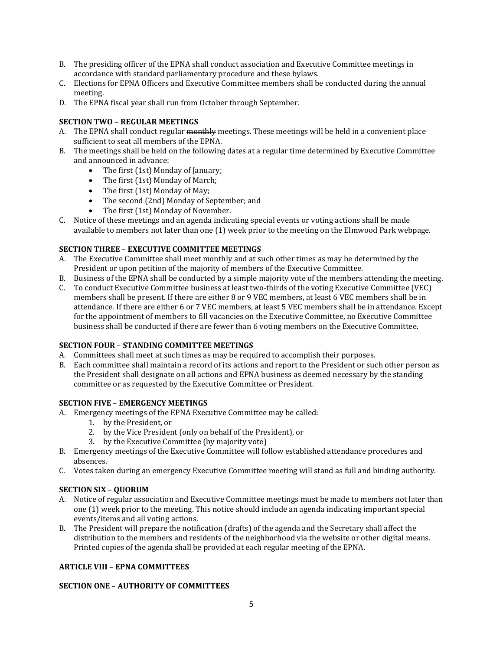- B. The presiding officer of the EPNA shall conduct association and Executive Committee meetings in accordance with standard parliamentary procedure and these bylaws.
- C. Elections for EPNA Officers and Executive Committee members shall be conducted during the annual meeting.
- D. The EPNA fiscal year shall run from October through September.

# **SECTION TWO** – **REGULAR MEETINGS**

- A. The EPNA shall conduct regular monthly meetings. These meetings will be held in a convenient place sufficient to seat all members of the EPNA.
- B. The meetings shall be held on the following dates at a regular time determined by Executive Committee and announced in advance:
	- The first (1st) Monday of January;
	- The first (1st) Monday of March;
	- The first (1st) Monday of May;
	- The second (2nd) Monday of September; and
	- The first (1st) Monday of November.
- C. Notice of these meetings and an agenda indicating special events or voting actions shall be made available to members not later than one (1) week prior to the meeting on the Elmwood Park webpage.

# **SECTION THREE** – **EXECUTIVE COMMITTEE MEETINGS**

- A. The Executive Committee shall meet monthly and at such other times as may be determined by the President or upon petition of the majority of members of the Executive Committee.
- B. Business of the EPNA shall be conducted by a simple majority vote of the members attending the meeting.
- C. To conduct Executive Committee business at least two-thirds of the voting Executive Committee (VEC) members shall be present. If there are either 8 or 9 VEC members, at least 6 VEC members shall be in attendance. If there are either 6 or 7 VEC members, at least 5 VEC members shall be in attendance. Except for the appointment of members to fill vacancies on the Executive Committee, no Executive Committee business shall be conducted if there are fewer than 6 voting members on the Executive Committee.

### **SECTION FOUR** – **STANDING COMMITTEE MEETINGS**

- A. Committees shall meet at such times as may be required to accomplish their purposes.
- B. Each committee shall maintain a record of its actions and report to the President or such other person as the President shall designate on all actions and EPNA business as deemed necessary by the standing committee or as requested by the Executive Committee or President.

### **SECTION FIVE** – **EMERGENCY MEETINGS**

- A. Emergency meetings of the EPNA Executive Committee may be called:
	- 1. by the President, or
	- 2. by the Vice President (only on behalf of the President), or
	- 3. by the Executive Committee (by majority vote)
- B. Emergency meetings of the Executive Committee will follow established attendance procedures and absences.
- C. Votes taken during an emergency Executive Committee meeting will stand as full and binding authority.

### **SECTION SIX** – **QUORUM**

- A. Notice of regular association and Executive Committee meetings must be made to members not later than one (1) week prior to the meeting. This notice should include an agenda indicating important special events/items and all voting actions.
- B. The President will prepare the notification (drafts) of the agenda and the Secretary shall affect the distribution to the members and residents of the neighborhood via the website or other digital means. Printed copies of the agenda shall be provided at each regular meeting of the EPNA.

### **ARTICLE VIII** – **EPNA COMMITTEES**

### **SECTION ONE** – **AUTHORITY OF COMMITTEES**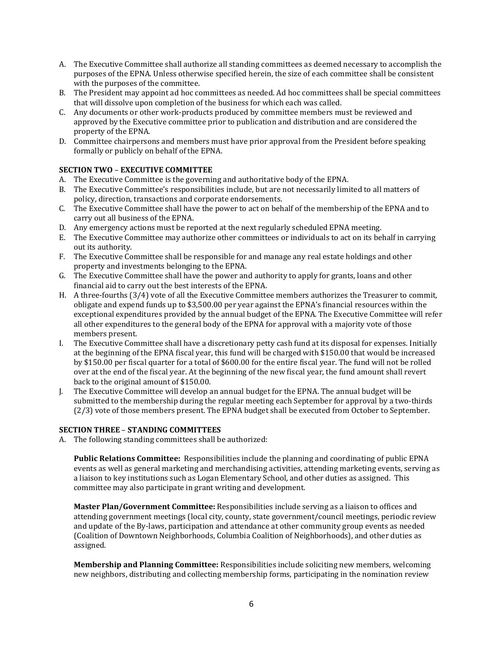- A. The Executive Committee shall authorize all standing committees as deemed necessary to accomplish the purposes of the EPNA. Unless otherwise specified herein, the size of each committee shall be consistent with the purposes of the committee.
- B. The President may appoint ad hoc committees as needed. Ad hoc committees shall be special committees that will dissolve upon completion of the business for which each was called.
- C. Any documents or other work-products produced by committee members must be reviewed and approved by the Executive committee prior to publication and distribution and are considered the property of the EPNA.
- D. Committee chairpersons and members must have prior approval from the President before speaking formally or publicly on behalf of the EPNA.

# **SECTION TWO** – **EXECUTIVE COMMITTEE**

- A. The Executive Committee is the governing and authoritative body of the EPNA.
- B. The Executive Committee's responsibilities include, but are not necessarily limited to all matters of policy, direction, transactions and corporate endorsements.
- C. The Executive Committee shall have the power to act on behalf of the membership of the EPNA and to carry out all business of the EPNA.
- D. Any emergency actions must be reported at the next regularly scheduled EPNA meeting.
- E. The Executive Committee may authorize other committees or individuals to act on its behalf in carrying out its authority.
- F. The Executive Committee shall be responsible for and manage any real estate holdings and other property and investments belonging to the EPNA.
- G. The Executive Committee shall have the power and authority to apply for grants, loans and other financial aid to carry out the best interests of the EPNA.
- H. A three-fourths (3/4) vote of all the Executive Committee members authorizes the Treasurer to commit, obligate and expend funds up to \$3,500.00 per year against the EPNA's financial resources within the exceptional expenditures provided by the annual budget of the EPNA. The Executive Committee will refer all other expenditures to the general body of the EPNA for approval with a majority vote of those members present.
- I. The Executive Committee shall have a discretionary petty cash fund at its disposal for expenses. Initially at the beginning of the EPNA fiscal year, this fund will be charged with \$150.00 that would be increased by \$150.00 per fiscal quarter for a total of \$600.00 for the entire fiscal year. The fund will not be rolled over at the end of the fiscal year. At the beginning of the new fiscal year, the fund amount shall revert back to the original amount of \$150.00.
- J. The Executive Committee will develop an annual budget for the EPNA. The annual budget will be submitted to the membership during the regular meeting each September for approval by a two-thirds (2/3) vote of those members present. The EPNA budget shall be executed from October to September.

### **SECTION THREE** – **STANDING COMMITTEES**

A. The following standing committees shall be authorized:

**Public Relations Committee:** Responsibilities include the planning and coordinating of public EPNA events as well as general marketing and merchandising activities, attending marketing events, serving as a liaison to key institutions such as Logan Elementary School, and other duties as assigned. This committee may also participate in grant writing and development.

**Master Plan/Government Committee:** Responsibilities include serving as a liaison to offices and attending government meetings (local city, county, state government/council meetings, periodic review and update of the By-laws, participation and attendance at other community group events as needed (Coalition of Downtown Neighborhoods, Columbia Coalition of Neighborhoods), and other duties as assigned.

**Membership and Planning Committee:** Responsibilities include soliciting new members, welcoming new neighbors, distributing and collecting membership forms, participating in the nomination review